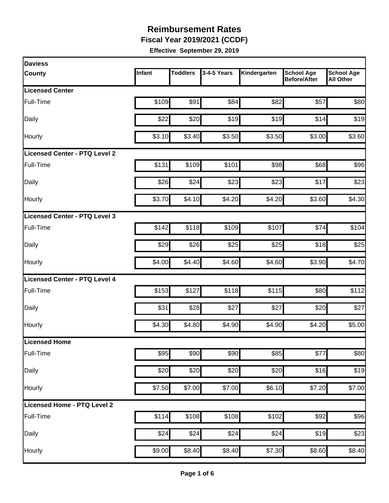**Fiscal Year 2019/2021 (CCDF)** 

| <b>Daviess</b>                |        |                 |             |                    |                                          |                                       |
|-------------------------------|--------|-----------------|-------------|--------------------|------------------------------------------|---------------------------------------|
| <b>County</b>                 | Infant | <b>Toddlers</b> | 3-4-5 Years | Kindergarten       | <b>School Age</b><br><b>Before/After</b> | <b>School Age</b><br><b>All Other</b> |
| <b>Licensed Center</b>        |        |                 |             |                    |                                          |                                       |
| Full-Time                     | \$109  | \$91            | \$84        | \$82               | \$57                                     | \$80                                  |
| Daily                         | \$22   | \$20            | \$19        | \$19               | \$14                                     | \$19                                  |
| Hourly                        | \$3.10 | \$3.40          | \$3.50      | \$3.50             | \$3.00                                   | \$3.60                                |
| Licensed Center - PTQ Level 2 |        |                 |             |                    |                                          |                                       |
| Full-Time                     | \$131  | \$109           | \$101       | \$98               | \$68                                     | \$96                                  |
| Daily                         | \$26   | \$24            | \$23        | \$23               | \$17                                     | \$23                                  |
| Hourly                        | \$3.70 | \$4.10          | \$4.20      | \$4.20             | \$3.60                                   | \$4.30                                |
| Licensed Center - PTQ Level 3 |        |                 |             |                    |                                          |                                       |
| Full-Time                     | \$142  | \$118           | \$109       | \$107              | \$74                                     | \$104                                 |
| Daily                         | \$29   | \$26            | \$25        | \$25               | \$18                                     | \$25                                  |
| Hourly                        | \$4.00 | \$4.40          | \$4.60      | \$4.60             | \$3.90                                   | \$4.70                                |
| Licensed Center - PTQ Level 4 |        |                 |             |                    |                                          |                                       |
| Full-Time                     | \$153  | \$127           | \$118       | \$115              | \$80                                     | \$112                                 |
| Daily                         | \$31   | \$28            | \$27        | \$27               | \$20                                     | \$27                                  |
| Hourly                        | \$4.30 | \$4.80          | \$4.90      | \$4.90             | \$4.20                                   | \$5.00                                |
| <b>Licensed Home</b>          |        |                 |             |                    |                                          |                                       |
| Full-Time                     | \$95   | \$90            | \$90        | \$85               | \$77                                     | \$80                                  |
| Daily                         | \$20   | \$20            | \$20        | \$20               | \$16                                     | \$19                                  |
| Hourly                        | \$7.50 | \$7.00          | \$7.00      | \$6.10             | \$7.20                                   | \$7.00                                |
| Licensed Home - PTQ Level 2   |        |                 |             |                    |                                          |                                       |
| Full-Time                     | \$114  | \$108           | \$108       | \$102              | \$92                                     | \$96                                  |
| Daily                         | \$24   | \$24            | \$24        | \$24               | \$19                                     | \$23                                  |
| Hourly                        | \$9.00 | \$8.40          | \$8.40      | $\overline{$7.30}$ | \$8.60                                   | \$8.40                                |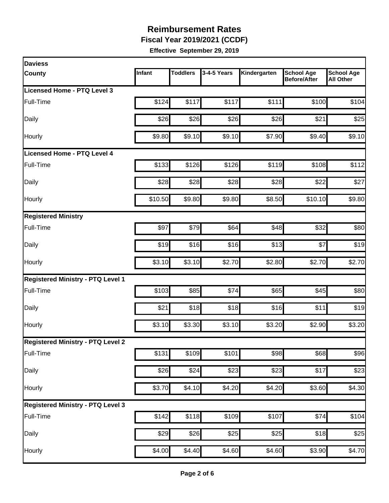**Fiscal Year 2019/2021 (CCDF)** 

| <b>Daviess</b>                           |         |                 |             |              |                                          |                                       |
|------------------------------------------|---------|-----------------|-------------|--------------|------------------------------------------|---------------------------------------|
| <b>County</b>                            | Infant  | <b>Toddlers</b> | 3-4-5 Years | Kindergarten | <b>School Age</b><br><b>Before/After</b> | <b>School Age</b><br><b>All Other</b> |
| Licensed Home - PTQ Level 3              |         |                 |             |              |                                          |                                       |
| Full-Time                                | \$124   | \$117           | \$117       | \$111        | \$100                                    | \$104                                 |
| Daily                                    | \$26    | \$26            | \$26        | \$26         | \$21                                     | \$25                                  |
| Hourly                                   | \$9.80  | \$9.10          | \$9.10      | \$7.90       | \$9.40                                   | \$9.10                                |
| <b>Licensed Home - PTQ Level 4</b>       |         |                 |             |              |                                          |                                       |
| Full-Time                                | \$133   | \$126           | \$126       | \$119        | \$108                                    | \$112                                 |
| Daily                                    | \$28    | \$28            | \$28        | \$28         | \$22                                     | \$27                                  |
| Hourly                                   | \$10.50 | \$9.80          | \$9.80      | \$8.50       | \$10.10                                  | \$9.80                                |
| <b>Registered Ministry</b>               |         |                 |             |              |                                          |                                       |
| Full-Time                                | \$97    | \$79            | \$64        | \$48         | \$32                                     | \$80                                  |
| Daily                                    | \$19    | \$16            | \$16        | \$13         | \$7                                      | \$19                                  |
| Hourly                                   | \$3.10  | \$3.10          | \$2.70      | \$2.80       | \$2.70                                   | \$2.70                                |
| <b>Registered Ministry - PTQ Level 1</b> |         |                 |             |              |                                          |                                       |
| Full-Time                                | \$103   | \$85            | \$74        | \$65         | \$45                                     | \$80                                  |
| Daily                                    | \$21    | \$18            | \$18        | \$16         | \$11                                     | \$19                                  |
| Hourly                                   | \$3.10  | \$3.30          | \$3.10      | \$3.20       | \$2.90                                   | \$3.20                                |
| <b>Registered Ministry - PTQ Level 2</b> |         |                 |             |              |                                          |                                       |
| Full-Time                                | \$131   | \$109           | \$101       | \$98         | \$68                                     | \$96                                  |
| <b>Daily</b>                             | \$26    | \$24            | \$23        | \$23         | \$17                                     | \$23                                  |
| Hourly                                   | \$3.70  | \$4.10          | \$4.20      | \$4.20       | \$3.60                                   | \$4.30                                |
| <b>Registered Ministry - PTQ Level 3</b> |         |                 |             |              |                                          |                                       |
| Full-Time                                | \$142   | \$118           | \$109       | \$107        | \$74                                     | \$104                                 |
| Daily                                    | \$29    | \$26            | \$25        | \$25         | \$18                                     | \$25                                  |
| Hourly                                   | \$4.00  | \$4.40          | \$4.60      | \$4.60       | \$3.90                                   | \$4.70                                |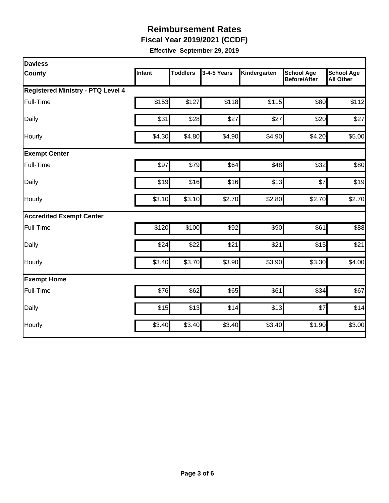**Fiscal Year 2019/2021 (CCDF)** 

| Daviess                                  |        |                 |             |              |                                          |                                       |
|------------------------------------------|--------|-----------------|-------------|--------------|------------------------------------------|---------------------------------------|
| County                                   | Infant | <b>Toddlers</b> | 3-4-5 Years | Kindergarten | <b>School Age</b><br><b>Before/After</b> | <b>School Age</b><br><b>All Other</b> |
| <b>Registered Ministry - PTQ Level 4</b> |        |                 |             |              |                                          |                                       |
| Full-Time                                | \$153  | \$127           | \$118       | \$115        | \$80                                     | \$112                                 |
| Daily                                    | \$31   | \$28            | \$27        | \$27         | \$20                                     | \$27                                  |
| Hourly                                   | \$4.30 | \$4.80          | \$4.90      | \$4.90       | \$4.20                                   | \$5.00                                |
| <b>Exempt Center</b>                     |        |                 |             |              |                                          |                                       |
| Full-Time                                | \$97   | \$79            | \$64        | \$48         | \$32                                     | \$80                                  |
| Daily                                    | \$19   | \$16            | \$16        | \$13         | \$7                                      | \$19                                  |
| Hourly                                   | \$3.10 | \$3.10          | \$2.70      | \$2.80       | \$2.70                                   | \$2.70                                |
| <b>Accredited Exempt Center</b>          |        |                 |             |              |                                          |                                       |
| Full-Time                                | \$120  | \$100           | \$92        | \$90         | \$61                                     | \$88                                  |
| Daily                                    | \$24   | \$22            | \$21        | \$21         | \$15                                     | \$21                                  |
| Hourly                                   | \$3.40 | \$3.70          | \$3.90      | \$3.90       | \$3.30                                   | \$4.00                                |
| <b>Exempt Home</b>                       |        |                 |             |              |                                          |                                       |
| Full-Time                                | \$76   | \$62            | \$65        | \$61         | \$34                                     | \$67                                  |
| Daily                                    | \$15   | \$13            | \$14        | \$13         | \$7                                      | \$14                                  |
| Hourly                                   | \$3.40 | \$3.40          | \$3.40      | \$3.40       | \$1.90                                   | \$3.00                                |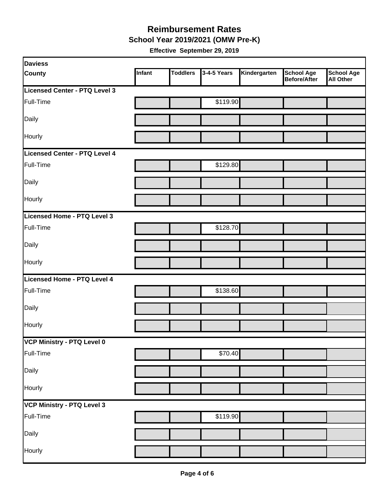#### **Reimbursement Rates School Year 2019/2021 (OMW Pre-K)**

| <b>Daviess</b>                |        |                 |             |              |                                          |                         |
|-------------------------------|--------|-----------------|-------------|--------------|------------------------------------------|-------------------------|
| <b>County</b>                 | Infant | <b>Toddlers</b> | 3-4-5 Years | Kindergarten | <b>School Age</b><br><b>Before/After</b> | School Age<br>All Other |
| Licensed Center - PTQ Level 3 |        |                 |             |              |                                          |                         |
| Full-Time                     |        |                 | \$119.90    |              |                                          |                         |
| Daily                         |        |                 |             |              |                                          |                         |
| Hourly                        |        |                 |             |              |                                          |                         |
| Licensed Center - PTQ Level 4 |        |                 |             |              |                                          |                         |
| Full-Time                     |        |                 | \$129.80    |              |                                          |                         |
| Daily                         |        |                 |             |              |                                          |                         |
| Hourly                        |        |                 |             |              |                                          |                         |
| Licensed Home - PTQ Level 3   |        |                 |             |              |                                          |                         |
| Full-Time                     |        |                 | \$128.70    |              |                                          |                         |
| Daily                         |        |                 |             |              |                                          |                         |
| Hourly                        |        |                 |             |              |                                          |                         |
| Licensed Home - PTQ Level 4   |        |                 |             |              |                                          |                         |
| Full-Time                     |        |                 | \$138.60    |              |                                          |                         |
| Daily                         |        |                 |             |              |                                          |                         |
| Hourly                        |        |                 |             |              |                                          |                         |
| VCP Ministry - PTQ Level 0    |        |                 |             |              |                                          |                         |
| Full-Time                     |        |                 | \$70.40     |              |                                          |                         |
| Daily                         |        |                 |             |              |                                          |                         |
| Hourly                        |        |                 |             |              |                                          |                         |
| VCP Ministry - PTQ Level 3    |        |                 |             |              |                                          |                         |
| Full-Time                     |        |                 | \$119.90    |              |                                          |                         |
| Daily                         |        |                 |             |              |                                          |                         |
| Hourly                        |        |                 |             |              |                                          |                         |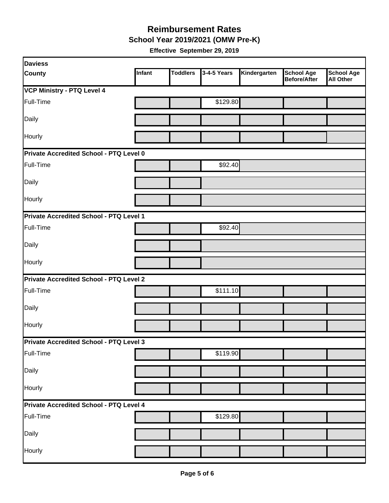**School Year 2019/2021 (OMW Pre-K)** 

| <b>Daviess</b>                                 |        |                 |             |              |                                          |                                       |
|------------------------------------------------|--------|-----------------|-------------|--------------|------------------------------------------|---------------------------------------|
| <b>County</b>                                  | Infant | <b>Toddlers</b> | 3-4-5 Years | Kindergarten | <b>School Age</b><br><b>Before/After</b> | <b>School Age</b><br><b>All Other</b> |
| VCP Ministry - PTQ Level 4                     |        |                 |             |              |                                          |                                       |
| Full-Time                                      |        |                 | \$129.80    |              |                                          |                                       |
| Daily                                          |        |                 |             |              |                                          |                                       |
| Hourly                                         |        |                 |             |              |                                          |                                       |
| <b>Private Accredited School - PTQ Level 0</b> |        |                 |             |              |                                          |                                       |
| Full-Time                                      |        |                 | \$92.40     |              |                                          |                                       |
| Daily                                          |        |                 |             |              |                                          |                                       |
| Hourly                                         |        |                 |             |              |                                          |                                       |
| <b>Private Accredited School - PTQ Level 1</b> |        |                 |             |              |                                          |                                       |
| Full-Time                                      |        |                 | \$92.40     |              |                                          |                                       |
| Daily                                          |        |                 |             |              |                                          |                                       |
| Hourly                                         |        |                 |             |              |                                          |                                       |
| <b>Private Accredited School - PTQ Level 2</b> |        |                 |             |              |                                          |                                       |
| Full-Time                                      |        |                 | \$111.10    |              |                                          |                                       |
| Daily                                          |        |                 |             |              |                                          |                                       |
| Hourly                                         |        |                 |             |              |                                          |                                       |
| Private Accredited School - PTQ Level 3        |        |                 |             |              |                                          |                                       |
| Full-Time                                      |        |                 | \$119.90    |              |                                          |                                       |
| Daily                                          |        |                 |             |              |                                          |                                       |
| Hourly                                         |        |                 |             |              |                                          |                                       |
| <b>Private Accredited School - PTQ Level 4</b> |        |                 |             |              |                                          |                                       |
| Full-Time                                      |        |                 | \$129.80    |              |                                          |                                       |
| Daily                                          |        |                 |             |              |                                          |                                       |
| Hourly                                         |        |                 |             |              |                                          |                                       |